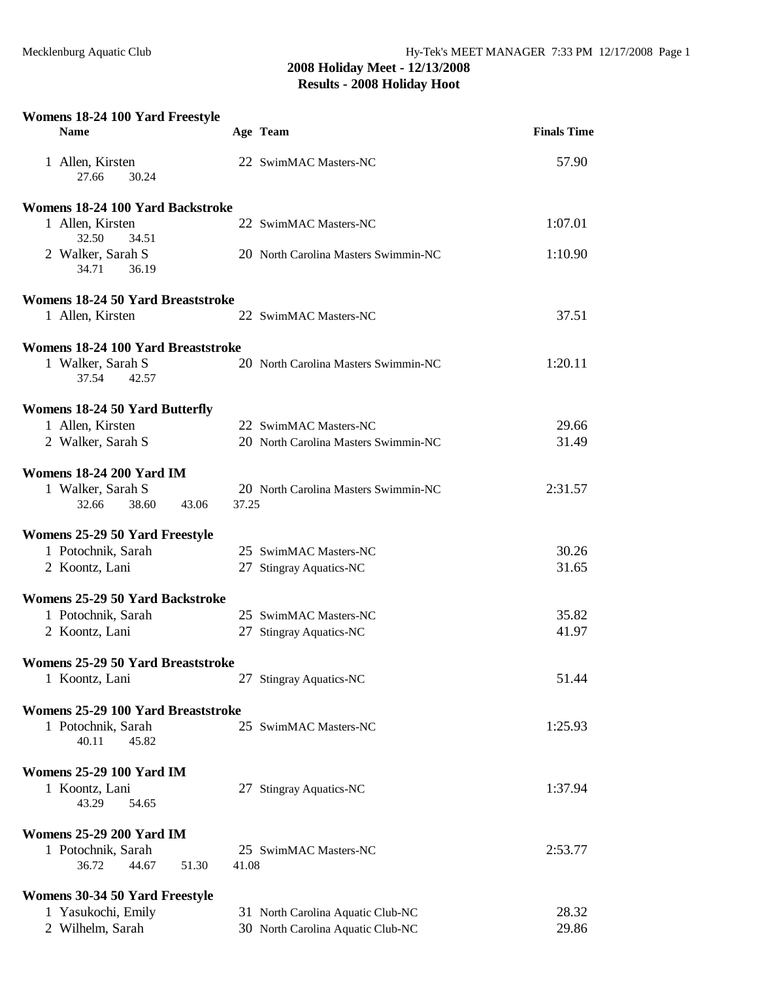| Womens 18-24 100 Yard Freestyle               |       |                                      |                    |
|-----------------------------------------------|-------|--------------------------------------|--------------------|
| <b>Name</b>                                   |       | Age Team                             | <b>Finals Time</b> |
| 1 Allen, Kirsten<br>27.66<br>30.24            |       | 22 SwimMAC Masters-NC                | 57.90              |
| Womens 18-24 100 Yard Backstroke              |       |                                      |                    |
| 1 Allen, Kirsten<br>32.50<br>34.51            |       | 22 SwimMAC Masters-NC                | 1:07.01            |
| 2 Walker, Sarah S<br>34.71<br>36.19           |       | 20 North Carolina Masters Swimmin-NC | 1:10.90            |
| Womens 18-24 50 Yard Breaststroke             |       |                                      |                    |
| 1 Allen, Kirsten                              |       | 22 SwimMAC Masters-NC                | 37.51              |
| Womens 18-24 100 Yard Breaststroke            |       |                                      |                    |
| 1 Walker, Sarah S<br>37.54<br>42.57           |       | 20 North Carolina Masters Swimmin-NC | 1:20.11            |
| <b>Womens 18-24 50 Yard Butterfly</b>         |       |                                      |                    |
| 1 Allen, Kirsten                              |       | 22 SwimMAC Masters-NC                | 29.66              |
| 2 Walker, Sarah S                             |       | 20 North Carolina Masters Swimmin-NC | 31.49              |
| <b>Womens 18-24 200 Yard IM</b>               |       |                                      |                    |
| 1 Walker, Sarah S                             |       | 20 North Carolina Masters Swimmin-NC | 2:31.57            |
| 32.66<br>38.60<br>43.06                       | 37.25 |                                      |                    |
| Womens 25-29 50 Yard Freestyle                |       |                                      |                    |
| 1 Potochnik, Sarah                            |       | 25 SwimMAC Masters-NC                | 30.26              |
| 2 Koontz, Lani                                |       | 27 Stingray Aquatics-NC              | 31.65              |
| Womens 25-29 50 Yard Backstroke               |       |                                      |                    |
| 1 Potochnik, Sarah                            |       | 25 SwimMAC Masters-NC                | 35.82              |
| 2 Koontz, Lani                                |       | 27 Stingray Aquatics-NC              | 41.97              |
| Womens 25-29 50 Yard Breaststroke             |       |                                      |                    |
| 1 Koontz, Lani                                |       | 27 Stingray Aquatics-NC              | 51.44              |
| Womens 25-29 100 Yard Breaststroke            |       |                                      |                    |
| 1 Potochnik, Sarah                            |       | 25 SwimMAC Masters-NC                | 1:25.93            |
| 40.11<br>45.82                                |       |                                      |                    |
| <b>Womens 25-29 100 Yard IM</b>               |       |                                      |                    |
| 1 Koontz, Lani<br>43.29<br>54.65              |       | 27 Stingray Aquatics-NC              | 1:37.94            |
|                                               |       |                                      |                    |
| <b>Womens 25-29 200 Yard IM</b>               |       |                                      |                    |
| 1 Potochnik, Sarah<br>36.72<br>44.67<br>51.30 | 41.08 | 25 SwimMAC Masters-NC                | 2:53.77            |
| Womens 30-34 50 Yard Freestyle                |       |                                      |                    |
| 1 Yasukochi, Emily                            |       | 31 North Carolina Aquatic Club-NC    | 28.32              |
| 2 Wilhelm, Sarah                              |       | 30 North Carolina Aquatic Club-NC    | 29.86              |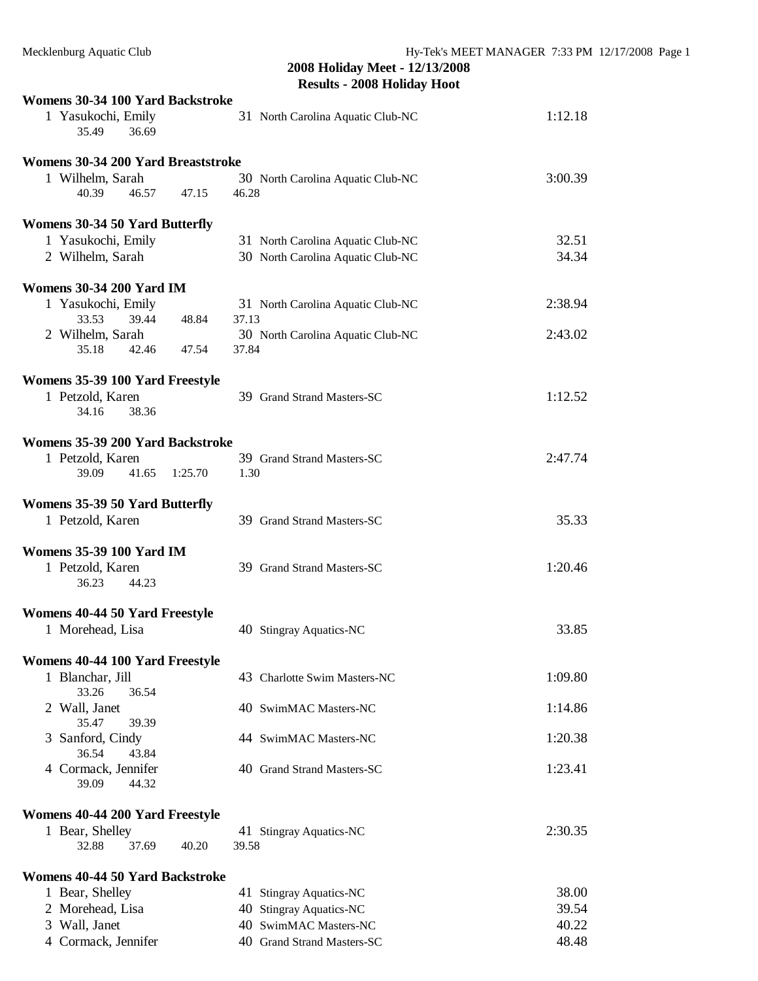| Womens 30-34 100 Yard Backstroke     |                                   |         |
|--------------------------------------|-----------------------------------|---------|
| 1 Yasukochi, Emily<br>35.49<br>36.69 | 31 North Carolina Aquatic Club-NC | 1:12.18 |
| Womens 30-34 200 Yard Breaststroke   |                                   |         |
| 1 Wilhelm, Sarah                     | 30 North Carolina Aquatic Club-NC | 3:00.39 |
| 40.39<br>46.57<br>47.15              | 46.28                             |         |
| Womens 30-34 50 Yard Butterfly       |                                   |         |
| 1 Yasukochi, Emily                   | 31 North Carolina Aquatic Club-NC | 32.51   |
| 2 Wilhelm, Sarah                     | 30 North Carolina Aquatic Club-NC | 34.34   |
| <b>Womens 30-34 200 Yard IM</b>      |                                   |         |
| 1 Yasukochi, Emily                   | 31 North Carolina Aquatic Club-NC | 2:38.94 |
| 33.53<br>48.84<br>39.44              | 37.13                             |         |
| 2 Wilhelm, Sarah                     | 30 North Carolina Aquatic Club-NC | 2:43.02 |
| 35.18<br>42.46<br>47.54              | 37.84                             |         |
| Womens 35-39 100 Yard Freestyle      |                                   |         |
| 1 Petzold, Karen                     | 39 Grand Strand Masters-SC        | 1:12.52 |
| 38.36<br>34.16                       |                                   |         |
| Womens 35-39 200 Yard Backstroke     |                                   |         |
| 1 Petzold, Karen                     | 39 Grand Strand Masters-SC        | 2:47.74 |
| 39.09<br>41.65<br>1:25.70            | 1.30                              |         |
| Womens 35-39 50 Yard Butterfly       |                                   |         |
| 1 Petzold, Karen                     | 39 Grand Strand Masters-SC        | 35.33   |
|                                      |                                   |         |
| <b>Womens 35-39 100 Yard IM</b>      |                                   |         |
| 1 Petzold, Karen<br>36.23<br>44.23   | 39 Grand Strand Masters-SC        | 1:20.46 |
| Womens 40-44 50 Yard Freestyle       |                                   |         |
| 1 Morehead, Lisa                     | 40 Stingray Aquatics-NC           | 33.85   |
|                                      |                                   |         |
| Womens 40-44 100 Yard Freestyle      |                                   |         |
| 1 Blanchar, Jill<br>33.26<br>36.54   | 43 Charlotte Swim Masters-NC      | 1:09.80 |
| 2 Wall, Janet                        | 40 SwimMAC Masters-NC             | 1:14.86 |
| 35.47<br>39.39                       |                                   |         |
| 3 Sanford, Cindy<br>36.54<br>43.84   | 44 SwimMAC Masters-NC             | 1:20.38 |
| 4 Cormack, Jennifer                  | 40 Grand Strand Masters-SC        | 1:23.41 |
| 39.09<br>44.32                       |                                   |         |
| Womens 40-44 200 Yard Freestyle      |                                   |         |
| 1 Bear, Shelley                      | 41 Stingray Aquatics-NC           | 2:30.35 |
| 37.69<br>32.88<br>40.20              | 39.58                             |         |
| Womens 40-44 50 Yard Backstroke      |                                   |         |
| 1 Bear, Shelley                      | 41 Stingray Aquatics-NC           | 38.00   |
| 2 Morehead, Lisa                     | 40 Stingray Aquatics-NC           | 39.54   |
| 3 Wall, Janet                        | 40 SwimMAC Masters-NC             | 40.22   |
| 4 Cormack, Jennifer                  | 40 Grand Strand Masters-SC        | 48.48   |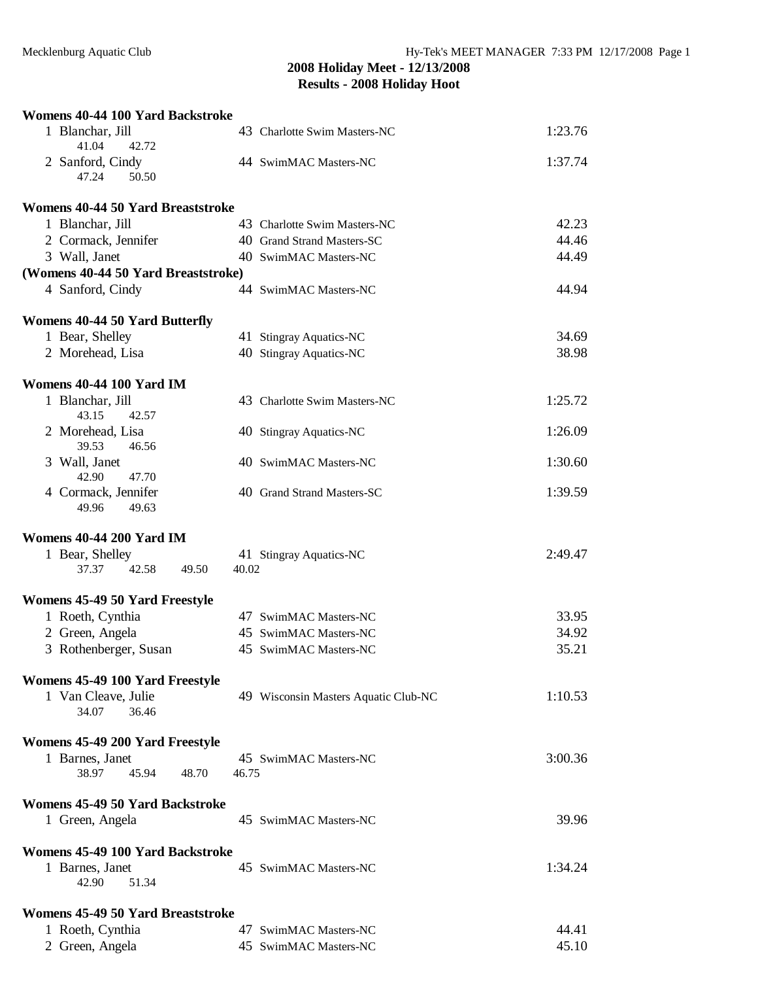| Womens 40-44 100 Yard Backstroke           |                                      |         |
|--------------------------------------------|--------------------------------------|---------|
| 1 Blanchar, Jill<br>41.04<br>42.72         | 43 Charlotte Swim Masters-NC         | 1:23.76 |
| 2 Sanford, Cindy<br>47.24<br>50.50         | 44 SwimMAC Masters-NC                | 1:37.74 |
| Womens 40-44 50 Yard Breaststroke          |                                      |         |
| 1 Blanchar, Jill                           | 43 Charlotte Swim Masters-NC         | 42.23   |
| 2 Cormack, Jennifer                        | 40 Grand Strand Masters-SC           | 44.46   |
| 3 Wall, Janet                              | 40 SwimMAC Masters-NC                | 44.49   |
| (Womens 40-44 50 Yard Breaststroke)        |                                      |         |
| 4 Sanford, Cindy                           | 44 SwimMAC Masters-NC                | 44.94   |
| <b>Womens 40-44 50 Yard Butterfly</b>      |                                      |         |
| 1 Bear, Shelley                            | 41 Stingray Aquatics-NC              | 34.69   |
| 2 Morehead, Lisa                           | 40 Stingray Aquatics-NC              | 38.98   |
| <b>Womens 40-44 100 Yard IM</b>            |                                      |         |
| 1 Blanchar, Jill<br>43.15<br>42.57         | 43 Charlotte Swim Masters-NC         | 1:25.72 |
| 2 Morehead, Lisa<br>39.53<br>46.56         | 40 Stingray Aquatics-NC              | 1:26.09 |
| 3 Wall, Janet<br>42.90<br>47.70            | 40 SwimMAC Masters-NC                | 1:30.60 |
| 4 Cormack, Jennifer<br>49.96<br>49.63      | 40 Grand Strand Masters-SC           | 1:39.59 |
| Womens 40-44 200 Yard IM                   |                                      |         |
| 1 Bear, Shelley<br>42.58<br>37.37<br>49.50 | 41 Stingray Aquatics-NC<br>40.02     | 2:49.47 |
| Womens 45-49 50 Yard Freestyle             |                                      |         |
| 1 Roeth, Cynthia                           | 47 SwimMAC Masters-NC                | 33.95   |
| 2 Green, Angela                            | 45 SwimMAC Masters-NC                | 34.92   |
| 3 Rothenberger, Susan                      | 45 SwimMAC Masters-NC                | 35.21   |
| Womens 45-49 100 Yard Freestyle            |                                      |         |
| 1 Van Cleave, Julie<br>34.07<br>36.46      | 49 Wisconsin Masters Aquatic Club-NC | 1:10.53 |
| Womens 45-49 200 Yard Freestyle            |                                      |         |
| 1 Barnes, Janet                            | 45 SwimMAC Masters-NC                | 3:00.36 |
| 45.94<br>38.97<br>48.70                    | 46.75                                |         |
| Womens 45-49 50 Yard Backstroke            |                                      |         |
| 1 Green, Angela                            | 45 SwimMAC Masters-NC                | 39.96   |
| Womens 45-49 100 Yard Backstroke           |                                      |         |
| 1 Barnes, Janet<br>42.90<br>51.34          | 45 SwimMAC Masters-NC                | 1:34.24 |
| Womens 45-49 50 Yard Breaststroke          |                                      |         |
| 1 Roeth, Cynthia                           | 47 SwimMAC Masters-NC                | 44.41   |
| 2 Green, Angela                            | 45 SwimMAC Masters-NC                | 45.10   |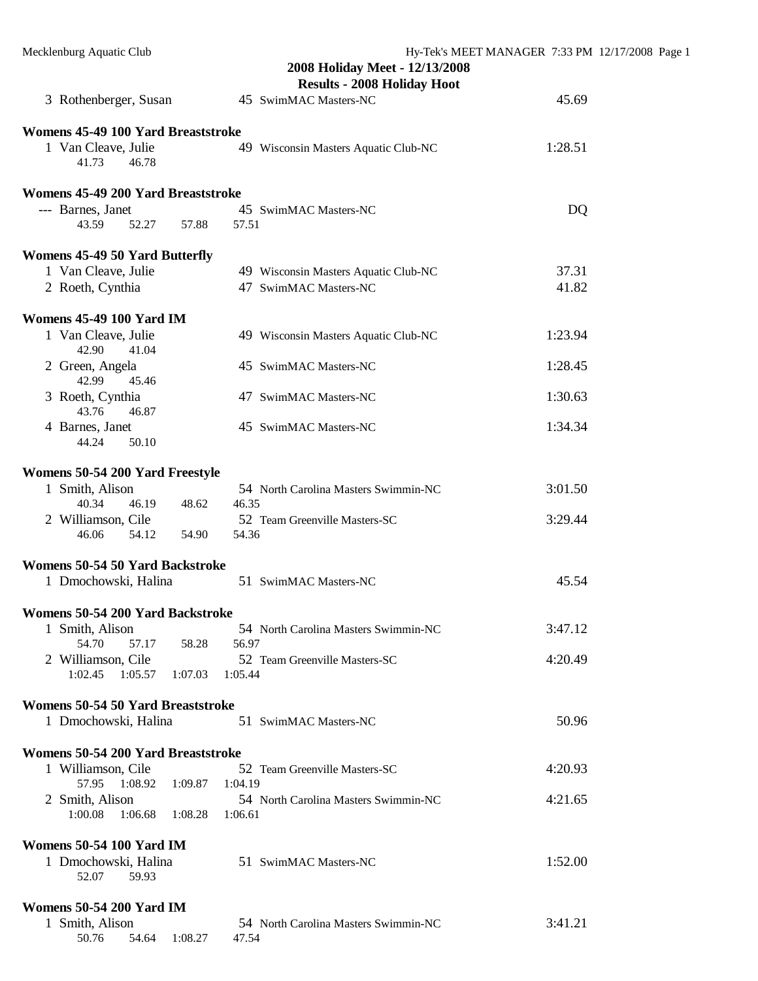| 3 Rothenberger, Susan                    |               | 2008 Holiday Meet - 12/13/2008<br><b>Results - 2008 Holiday Hoot</b><br>45 SwimMAC Masters-NC | 45.69   |
|------------------------------------------|---------------|-----------------------------------------------------------------------------------------------|---------|
|                                          |               |                                                                                               |         |
| Womens 45-49 100 Yard Breaststroke       |               |                                                                                               |         |
| 1 Van Cleave, Julie<br>41.73<br>46.78    |               | 49 Wisconsin Masters Aquatic Club-NC                                                          | 1:28.51 |
| Womens 45-49 200 Yard Breaststroke       |               |                                                                                               |         |
| --- Barnes, Janet                        |               | 45 SwimMAC Masters-NC                                                                         | DQ      |
| 52.27<br>43.59                           | 57.88         | 57.51                                                                                         |         |
| <b>Womens 45-49 50 Yard Butterfly</b>    |               |                                                                                               |         |
| 1 Van Cleave, Julie                      |               | 49 Wisconsin Masters Aquatic Club-NC                                                          | 37.31   |
| 2 Roeth, Cynthia                         |               | 47 SwimMAC Masters-NC                                                                         | 41.82   |
| <b>Womens 45-49 100 Yard IM</b>          |               |                                                                                               |         |
| 1 Van Cleave, Julie<br>42.90<br>41.04    |               | 49 Wisconsin Masters Aquatic Club-NC                                                          | 1:23.94 |
| 2 Green, Angela<br>42.99<br>45.46        |               | 45 SwimMAC Masters-NC                                                                         | 1:28.45 |
| 3 Roeth, Cynthia<br>43.76<br>46.87       |               | 47 SwimMAC Masters-NC                                                                         | 1:30.63 |
| 4 Barnes, Janet<br>44.24<br>50.10        |               | 45 SwimMAC Masters-NC                                                                         | 1:34.34 |
| Womens 50-54 200 Yard Freestyle          |               |                                                                                               |         |
| 1 Smith, Alison                          |               | 54 North Carolina Masters Swimmin-NC                                                          | 3:01.50 |
| 40.34<br>46.19                           | 48.62         | 46.35                                                                                         |         |
| 2 Williamson, Cile<br>46.06<br>54.12     | 54.90         | 52 Team Greenville Masters-SC<br>54.36                                                        | 3:29.44 |
| Womens 50-54 50 Yard Backstroke          |               |                                                                                               |         |
| 1 Dmochowski, Halina                     |               | 51 SwimMAC Masters-NC                                                                         | 45.54   |
| Womens 50-54 200 Yard Backstroke         |               |                                                                                               |         |
| 1 Smith, Alison                          |               | 54 North Carolina Masters Swimmin-NC                                                          | 3:47.12 |
| 54.70<br>57.17                           | 58.28         | 56.97                                                                                         |         |
| 2 Williamson, Cile<br>1:02.45<br>1:05.57 | 1:07.03       | 52 Team Greenville Masters-SC<br>1:05.44                                                      | 4:20.49 |
| <b>Womens 50-54 50 Yard Breaststroke</b> |               |                                                                                               |         |
| 1 Dmochowski, Halina                     |               | 51 SwimMAC Masters-NC                                                                         | 50.96   |
| Womens 50-54 200 Yard Breaststroke       |               |                                                                                               |         |
| 1 Williamson, Cile                       |               | 52 Team Greenville Masters-SC                                                                 | 4:20.93 |
| 57.95<br>1:08.92                         | 1:09.87       | 1:04.19                                                                                       |         |
| 2 Smith, Alison                          |               | 54 North Carolina Masters Swimmin-NC                                                          | 4:21.65 |
| 1:00.08<br>1:06.68                       | 1:08.28       | 1:06.61                                                                                       |         |
| <b>Womens 50-54 100 Yard IM</b>          |               |                                                                                               |         |
| 1 Dmochowski, Halina                     |               | 51 SwimMAC Masters-NC                                                                         | 1:52.00 |
| 52.07<br>59.93                           |               |                                                                                               |         |
| <b>Womens 50-54 200 Yard IM</b>          |               |                                                                                               |         |
| 1 Smith, Alison                          |               | 54 North Carolina Masters Swimmin-NC                                                          | 3:41.21 |
| 50.76                                    | 54.64 1:08.27 | 47.54                                                                                         |         |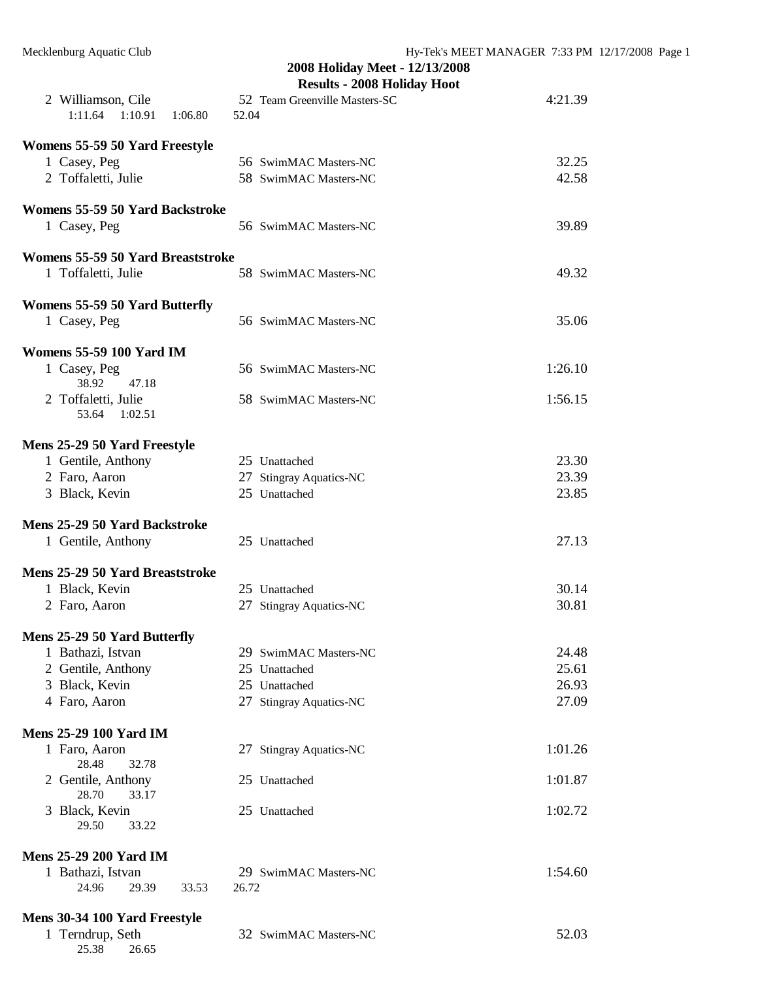|                                   | 2008 Holiday Meet - 12/13/2008<br><b>Results - 2008 Holiday Hoot</b> |         |
|-----------------------------------|----------------------------------------------------------------------|---------|
| 2 Williamson, Cile                | 52 Team Greenville Masters-SC                                        | 4:21.39 |
| 1:11.64<br>1:10.91<br>1:06.80     | 52.04                                                                |         |
|                                   |                                                                      |         |
| Womens 55-59 50 Yard Freestyle    |                                                                      | 32.25   |
| 1 Casey, Peg                      | 56 SwimMAC Masters-NC                                                | 42.58   |
| 2 Toffaletti, Julie               | 58 SwimMAC Masters-NC                                                |         |
| Womens 55-59 50 Yard Backstroke   |                                                                      |         |
| 1 Casey, Peg                      | 56 SwimMAC Masters-NC                                                | 39.89   |
|                                   |                                                                      |         |
| Womens 55-59 50 Yard Breaststroke |                                                                      |         |
| 1 Toffaletti, Julie               | 58 SwimMAC Masters-NC                                                | 49.32   |
|                                   |                                                                      |         |
| Womens 55-59 50 Yard Butterfly    |                                                                      |         |
| 1 Casey, Peg                      | 56 SwimMAC Masters-NC                                                | 35.06   |
| <b>Womens 55-59 100 Yard IM</b>   |                                                                      |         |
| 1 Casey, Peg                      | 56 SwimMAC Masters-NC                                                | 1:26.10 |
| 38.92<br>47.18                    |                                                                      |         |
| 2 Toffaletti, Julie               | 58 SwimMAC Masters-NC                                                | 1:56.15 |
| 53.64<br>1:02.51                  |                                                                      |         |
|                                   |                                                                      |         |
| Mens 25-29 50 Yard Freestyle      |                                                                      |         |
| 1 Gentile, Anthony                | 25 Unattached                                                        | 23.30   |
| 2 Faro, Aaron                     | 27 Stingray Aquatics-NC                                              | 23.39   |
| 3 Black, Kevin                    | 25 Unattached                                                        | 23.85   |
| Mens 25-29 50 Yard Backstroke     |                                                                      |         |
| 1 Gentile, Anthony                | 25 Unattached                                                        | 27.13   |
|                                   |                                                                      |         |
| Mens 25-29 50 Yard Breaststroke   |                                                                      |         |
| 1 Black, Kevin                    | 25 Unattached                                                        | 30.14   |
| 2 Faro, Aaron                     | 27 Stingray Aquatics-NC                                              | 30.81   |
|                                   |                                                                      |         |
| Mens 25-29 50 Yard Butterfly      |                                                                      |         |
| 1 Bathazi, Istvan                 | 29 SwimMAC Masters-NC                                                | 24.48   |
| 2 Gentile, Anthony                | 25 Unattached                                                        | 25.61   |
| 3 Black, Kevin                    | 25 Unattached                                                        | 26.93   |
| 4 Faro, Aaron                     | 27 Stingray Aquatics-NC                                              | 27.09   |
| <b>Mens 25-29 100 Yard IM</b>     |                                                                      |         |
| 1 Faro, Aaron                     | 27 Stingray Aquatics-NC                                              | 1:01.26 |
| 28.48<br>32.78                    |                                                                      |         |
| 2 Gentile, Anthony                | 25 Unattached                                                        | 1:01.87 |
| 28.70<br>33.17                    |                                                                      |         |
| 3 Black, Kevin                    | 25 Unattached                                                        | 1:02.72 |
| 29.50<br>33.22                    |                                                                      |         |
| <b>Mens 25-29 200 Yard IM</b>     |                                                                      |         |
| 1 Bathazi, Istvan                 | 29 SwimMAC Masters-NC                                                | 1:54.60 |
| 24.96<br>33.53<br>29.39           | 26.72                                                                |         |
|                                   |                                                                      |         |
| Mens 30-34 100 Yard Freestyle     |                                                                      |         |
| 1 Terndrup, Seth                  | 32 SwimMAC Masters-NC                                                | 52.03   |
| 25.38<br>26.65                    |                                                                      |         |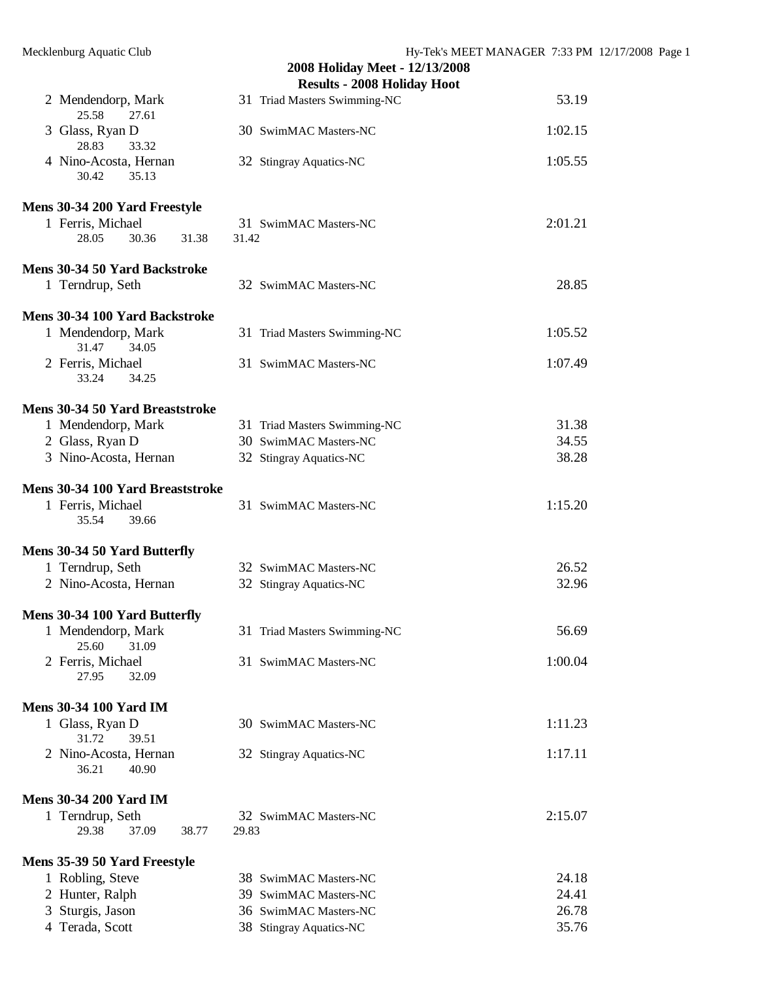# **2008 Holiday Meet - 12/13/2008 Results - 2008 Holiday Hoot**  2 Mendendorp, Mark 31 Triad Masters Swimming-NC 53.19 25.58 27.61 3 Glass, Ryan D 30 SwimMAC Masters-NC 1:02.15 28.83 33.32 4 Nino-Acosta, Hernan 32 Stingray Aquatics-NC 1:05.55 30.42 35.13 **Mens 30-34 200 Yard Freestyle**  1 Ferris, Michael 31 SwimMAC Masters-NC 2:01.21 28.05 30.36 31.38 31.42 **Mens 30-34 50 Yard Backstroke**  1 Terndrup, Seth 32 SwimMAC Masters-NC 28.85 **Mens 30-34 100 Yard Backstroke**  1 Mendendorp, Mark 31 Triad Masters Swimming-NC 1:05.52 31.47 34.05 2 Ferris, Michael 31 SwimMAC Masters-NC 1:07.49 33.24 34.25 **Mens 30-34 50 Yard Breaststroke**  1 Mendendorp, Mark 31 Triad Masters Swimming-NC 31.38 2 Glass, Ryan D 30 SwimMAC Masters-NC 34.55 3 Nino-Acosta, Hernan 32 Stingray Aquatics-NC 38.28 **Mens 30-34 100 Yard Breaststroke**  1 Ferris, Michael 31 SwimMAC Masters-NC 1:15.20 35.54 39.66 **Mens 30-34 50 Yard Butterfly**  1 Terndrup, Seth 32 SwimMAC Masters-NC 26.52 2 Nino-Acosta, Hernan 32 Stingray Aquatics-NC 32.96 **Mens 30-34 100 Yard Butterfly**  1 Mendendorp, Mark 31 Triad Masters Swimming-NC 56.69 25.60 31.09 2 Ferris, Michael 31 SwimMAC Masters-NC 1:00.04 27.95 32.09 **Mens 30-34 100 Yard IM**  1 Glass, Ryan D 30 SwimMAC Masters-NC 1:11.23 31.72 39.51 2 Nino-Acosta, Hernan 32 Stingray Aquatics-NC 1:17.11 36.21 40.90 **Mens 30-34 200 Yard IM**  1 Terndrup, Seth 32 SwimMAC Masters-NC 2:15.07 29.38 37.09 38.77 29.83 **Mens 35-39 50 Yard Freestyle**  1 Robling, Steve 38 SwimMAC Masters-NC 24.18 2 Hunter, Ralph 39 SwimMAC Masters-NC 24.41

3 Sturgis, Jason 36 SwimMAC Masters-NC 26.78 4 Terada, Scott 38 Stingray Aquatics-NC 35.76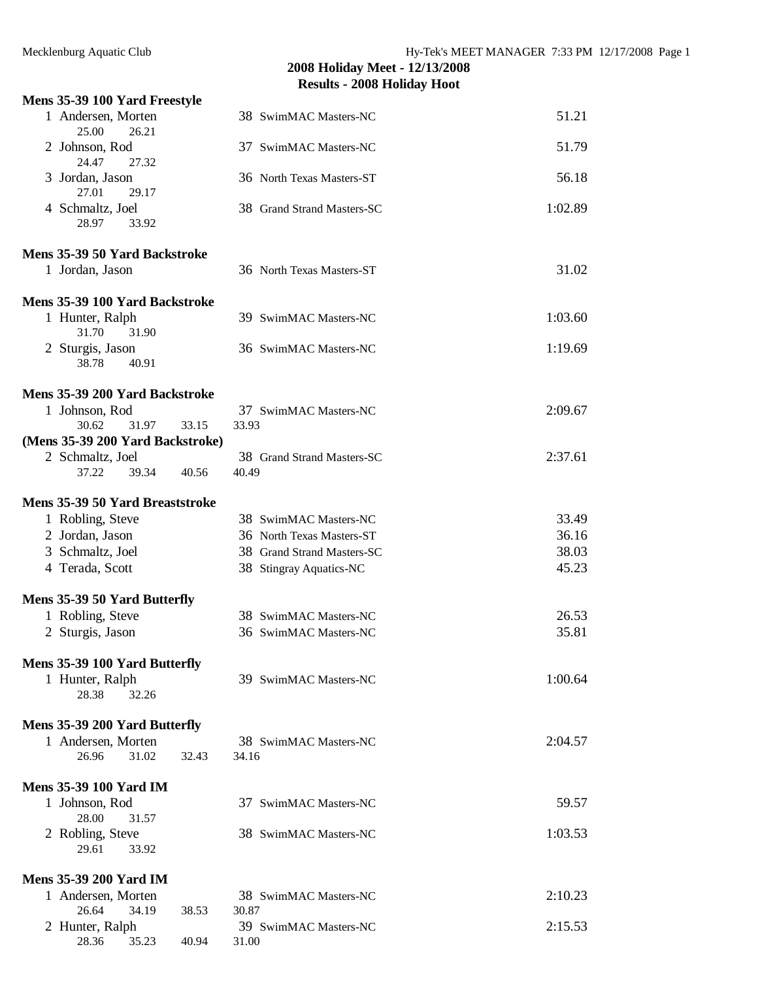# **Mens 35-39 100 Yard Freestyle**  1 Andersen, Morten 38 SwimMAC Masters-NC 51.21 25.00 26.21 2 Johnson, Rod 37 SwimMAC Masters-NC 51.79 24.47 27.32 3 Jordan, Jason 36 North Texas Masters-ST 56.18 27.01 29.17 4 Schmaltz, Joel 38 Grand Strand Masters-SC 1:02.89 28.97 33.92 **Mens 35-39 50 Yard Backstroke**  1 Jordan, Jason 36 North Texas Masters-ST 31.02 **Mens 35-39 100 Yard Backstroke**  1 Hunter, Ralph 39 SwimMAC Masters-NC 1:03.60 31.70 31.90 2 Sturgis, Jason 36 SwimMAC Masters-NC 1:19.69 38.78 40.91

| Mens 35-39 200 Yard Backstroke   |       |       |                            |         |
|----------------------------------|-------|-------|----------------------------|---------|
| 1 Johnson, Rod                   |       |       | 37 SwimMAC Masters-NC      | 2:09.67 |
| 30.62 31.97                      |       | 33.15 | 33.93                      |         |
| (Mens 35-39 200 Yard Backstroke) |       |       |                            |         |
| 2 Schmaltz, Joel                 |       |       | 38 Grand Strand Masters-SC | 2:37.61 |
| 37.22                            | 39.34 | 40.56 | 40.49                      |         |
|                                  |       |       |                            |         |

# **Mens 35-39 50 Yard Breaststroke**

| 1 Robling, Steve             | 38 SwimMAC Masters-NC      | 33.49 |
|------------------------------|----------------------------|-------|
| 2 Jordan, Jason              | 36 North Texas Masters-ST  | 36.16 |
| 3 Schmaltz, Joel             | 38 Grand Strand Masters-SC | 38.03 |
| 4 Terada, Scott              | 38 Stingray Aquatics-NC    | 45.23 |
| Mens 35-39 50 Yard Butterfly |                            |       |
| 1 Robling, Steve             | 38 SwimMAC Masters-NC      | 26.53 |
| 2 Sturgis, Jason             | 36 SwimMAC Masters-NC      | 35.81 |

1 Hunter, Ralph 39 SwimMAC Masters-NC 1:00.64

## **Mens 35-39 100 Yard Butterfly**

| 28.38<br>32.26                |                       |         |
|-------------------------------|-----------------------|---------|
| Mens 35-39 200 Yard Butterfly |                       |         |
| 1 Andersen, Morten            | 38 SwimMAC Masters-NC | 2:04.57 |
| 26.96<br>31.02<br>32.43       | 34.16                 |         |
| <b>Mens 35-39 100 Yard IM</b> |                       |         |
| 1 Johnson, Rod                | 37 SwimMAC Masters-NC | 59.57   |
| 28.00<br>31.57                |                       |         |
| 2 Robling, Steve              | 38 SwimMAC Masters-NC | 1:03.53 |
| 29.61<br>33.92                |                       |         |
| Mens 35.39 200 Vard IM        |                       |         |

| 1 Andersen, Morten |       |       | 38 SwimMAC Masters-NC | 2:10.23 |
|--------------------|-------|-------|-----------------------|---------|
| 26.64              | 34.19 | 38.53 | 30.87                 |         |
| 2 Hunter, Ralph    |       |       | 39 SwimMAC Masters-NC | 2:15.53 |
| 28.36              | 35.23 | 40.94 | 31.00                 |         |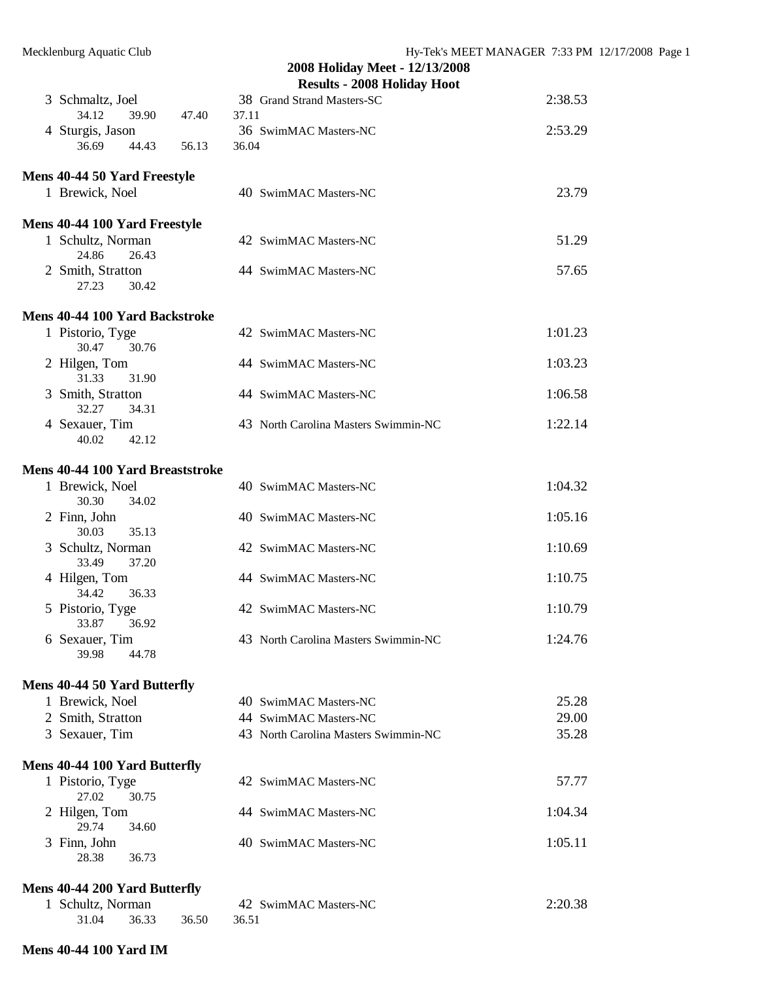|                                         |                | 2008 Holiday Meet - 12/13/2008<br><b>Results - 2008 Holiday Hoot</b> |         |
|-----------------------------------------|----------------|----------------------------------------------------------------------|---------|
| 3 Schmaltz, Joel                        |                | 38 Grand Strand Masters-SC                                           | 2:38.53 |
| 34.12<br>39.90                          | 47.40<br>37.11 |                                                                      |         |
| 4 Sturgis, Jason                        |                | 36 SwimMAC Masters-NC                                                | 2:53.29 |
| 36.69<br>44.43                          | 36.04<br>56.13 |                                                                      |         |
| <b>Mens 40-44 50 Yard Freestyle</b>     |                |                                                                      |         |
| 1 Brewick, Noel                         |                | 40 SwimMAC Masters-NC                                                | 23.79   |
| Mens 40-44 100 Yard Freestyle           |                |                                                                      |         |
| 1 Schultz, Norman<br>24.86<br>26.43     |                | 42 SwimMAC Masters-NC                                                | 51.29   |
| 2 Smith, Stratton<br>27.23<br>30.42     |                | 44 SwimMAC Masters-NC                                                | 57.65   |
| <b>Mens 40-44 100 Yard Backstroke</b>   |                |                                                                      |         |
| 1 Pistorio, Tyge<br>30.47<br>30.76      |                | 42 SwimMAC Masters-NC                                                | 1:01.23 |
| 2 Hilgen, Tom<br>31.33<br>31.90         |                | 44 SwimMAC Masters-NC                                                | 1:03.23 |
| 3 Smith, Stratton<br>32.27<br>34.31     |                | 44 SwimMAC Masters-NC                                                | 1:06.58 |
| 4 Sexauer, Tim<br>40.02<br>42.12        |                | 43 North Carolina Masters Swimmin-NC                                 | 1:22.14 |
| <b>Mens 40-44 100 Yard Breaststroke</b> |                |                                                                      |         |
| 1 Brewick, Noel<br>30.30<br>34.02       |                | 40 SwimMAC Masters-NC                                                | 1:04.32 |
| 2 Finn, John<br>30.03<br>35.13          |                | 40 SwimMAC Masters-NC                                                | 1:05.16 |
| 3 Schultz, Norman<br>37.20<br>33.49     |                | 42 SwimMAC Masters-NC                                                | 1:10.69 |
| 4 Hilgen, Tom<br>34.42<br>36.33         |                | 44 SwimMAC Masters-NC                                                | 1:10.75 |
| 5 Pistorio, Tyge<br>33.87<br>36.92      |                | 42 SwimMAC Masters-NC                                                | 1:10.79 |
| 6 Sexauer, Tim<br>39.98<br>44.78        |                | 43 North Carolina Masters Swimmin-NC                                 | 1:24.76 |
| Mens 40-44 50 Yard Butterfly            |                |                                                                      |         |
| 1 Brewick, Noel                         |                | 40 SwimMAC Masters-NC                                                | 25.28   |
| 2 Smith, Stratton                       |                | 44 SwimMAC Masters-NC                                                | 29.00   |
| 3 Sexauer, Tim                          |                | 43 North Carolina Masters Swimmin-NC                                 | 35.28   |
| Mens 40-44 100 Yard Butterfly           |                |                                                                      |         |
| 1 Pistorio, Tyge<br>30.75<br>27.02      |                | 42 SwimMAC Masters-NC                                                | 57.77   |
| 2 Hilgen, Tom<br>29.74<br>34.60         |                | 44 SwimMAC Masters-NC                                                | 1:04.34 |
| 3 Finn, John<br>28.38<br>36.73          |                | 40 SwimMAC Masters-NC                                                | 1:05.11 |
|                                         |                |                                                                      |         |

# **Mens 40-44 200 Yard Butterfly**

| 1 Schultz, Norman |  |                   | 42 SwimMAC Masters-NC | 2:20.38 |
|-------------------|--|-------------------|-----------------------|---------|
| 31.04             |  | 36.33 36.50 36.51 |                       |         |

#### **Mens 40-44 100 Yard IM**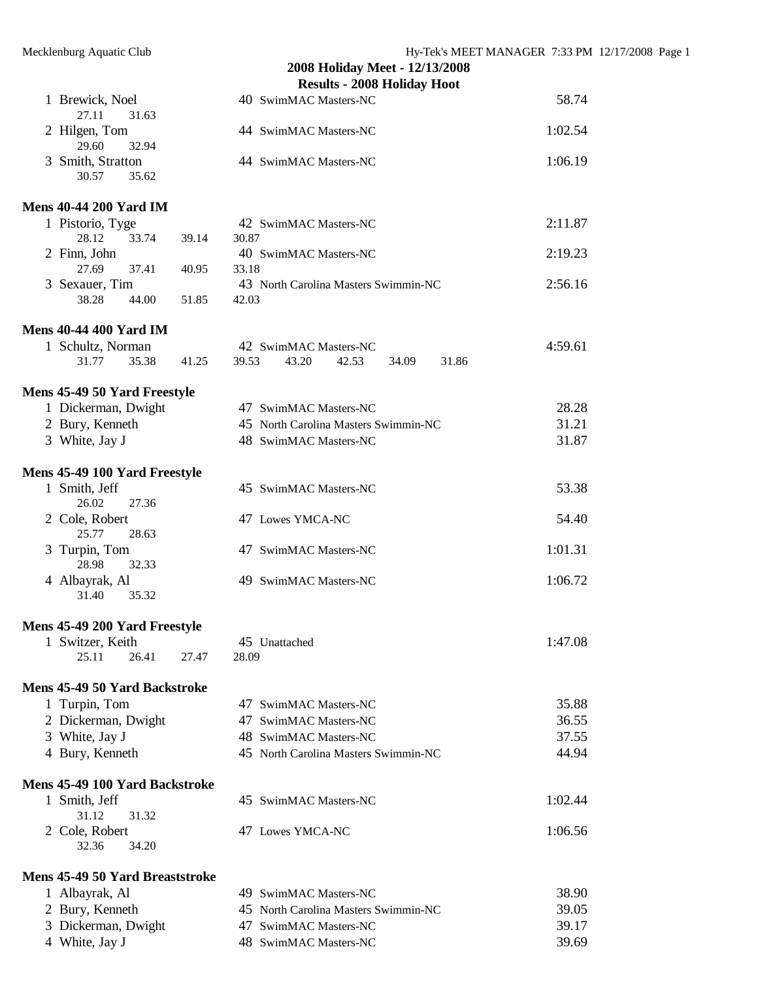|                                       |       | 2008 Holiday Meet - 12/13/2008            |         |
|---------------------------------------|-------|-------------------------------------------|---------|
|                                       |       | <b>Results - 2008 Holiday Hoot</b>        |         |
| 1 Brewick, Noel<br>27.11<br>31.63     |       | 40 SwimMAC Masters-NC                     | 58.74   |
| 2 Hilgen, Tom<br>29.60<br>32.94       |       | 44 SwimMAC Masters-NC                     | 1:02.54 |
| 3 Smith, Stratton<br>35.62<br>30.57   |       | 44 SwimMAC Masters-NC                     | 1:06.19 |
| <b>Mens 40-44 200 Yard IM</b>         |       |                                           |         |
| 1 Pistorio, Tyge                      |       | 42 SwimMAC Masters-NC                     | 2:11.87 |
| 33.74<br>28.12                        | 39.14 | 30.87                                     |         |
| 2 Finn, John                          |       | 40 SwimMAC Masters-NC                     | 2:19.23 |
| 27.69<br>37.41                        | 40.95 | 33.18                                     |         |
| 3 Sexauer, Tim                        |       | 43 North Carolina Masters Swimmin-NC      | 2:56.16 |
| 38.28<br>44.00                        | 51.85 | 42.03                                     |         |
| <b>Mens 40-44 400 Yard IM</b>         |       |                                           |         |
| 1 Schultz, Norman                     |       | 42 SwimMAC Masters-NC                     | 4:59.61 |
| 31.77<br>35.38                        | 41.25 | 39.53<br>43.20<br>42.53<br>34.09<br>31.86 |         |
| <b>Mens 45-49 50 Yard Freestyle</b>   |       |                                           |         |
| 1 Dickerman, Dwight                   |       | 47 SwimMAC Masters-NC                     | 28.28   |
| 2 Bury, Kenneth                       |       | 45 North Carolina Masters Swimmin-NC      | 31.21   |
| 3 White, Jay J                        |       | 48 SwimMAC Masters-NC                     | 31.87   |
| <b>Mens 45-49 100 Yard Freestyle</b>  |       |                                           |         |
| 1 Smith, Jeff                         |       | 45 SwimMAC Masters-NC                     | 53.38   |
| 26.02<br>27.36                        |       |                                           |         |
| 2 Cole, Robert                        |       | 47 Lowes YMCA-NC                          | 54.40   |
| 25.77<br>28.63                        |       |                                           |         |
| 3 Turpin, Tom<br>28.98<br>32.33       |       | 47 SwimMAC Masters-NC                     | 1:01.31 |
| 4 Albayrak, Al                        |       | 49 SwimMAC Masters-NC                     | 1:06.72 |
| 31.40<br>35.32                        |       |                                           |         |
| Mens 45-49 200 Yard Freestyle         |       |                                           |         |
| 1 Switzer, Keith                      |       | 45 Unattached                             | 1:47.08 |
| 25.11<br>26.41                        | 27.47 | 28.09                                     |         |
| <b>Mens 45-49 50 Yard Backstroke</b>  |       |                                           |         |
| 1 Turpin, Tom                         |       | 47 SwimMAC Masters-NC                     | 35.88   |
| 2 Dickerman, Dwight                   |       | 47 SwimMAC Masters-NC                     | 36.55   |
| 3 White, Jay J                        |       | 48 SwimMAC Masters-NC                     | 37.55   |
| 4 Bury, Kenneth                       |       | 45 North Carolina Masters Swimmin-NC      | 44.94   |
| <b>Mens 45-49 100 Yard Backstroke</b> |       |                                           |         |
| 1 Smith, Jeff                         |       | 45 SwimMAC Masters-NC                     | 1:02.44 |
| 31.12<br>31.32                        |       |                                           |         |
| 2 Cole, Robert                        |       | 47 Lowes YMCA-NC                          | 1:06.56 |
| 32.36<br>34.20                        |       |                                           |         |

# **Mens 45-49 50 Yard Breaststroke**

| 1 Albayrak, Al      | 49 SwimMAC Masters-NC                | 38.90 |
|---------------------|--------------------------------------|-------|
| 2 Bury, Kenneth     | 45 North Carolina Masters Swimmin-NC | 39.05 |
| 3 Dickerman, Dwight | 47 SwimMAC Masters-NC                | 39.17 |
| 4 White, Jay J      | 48 SwimMAC Masters-NC                | 39.69 |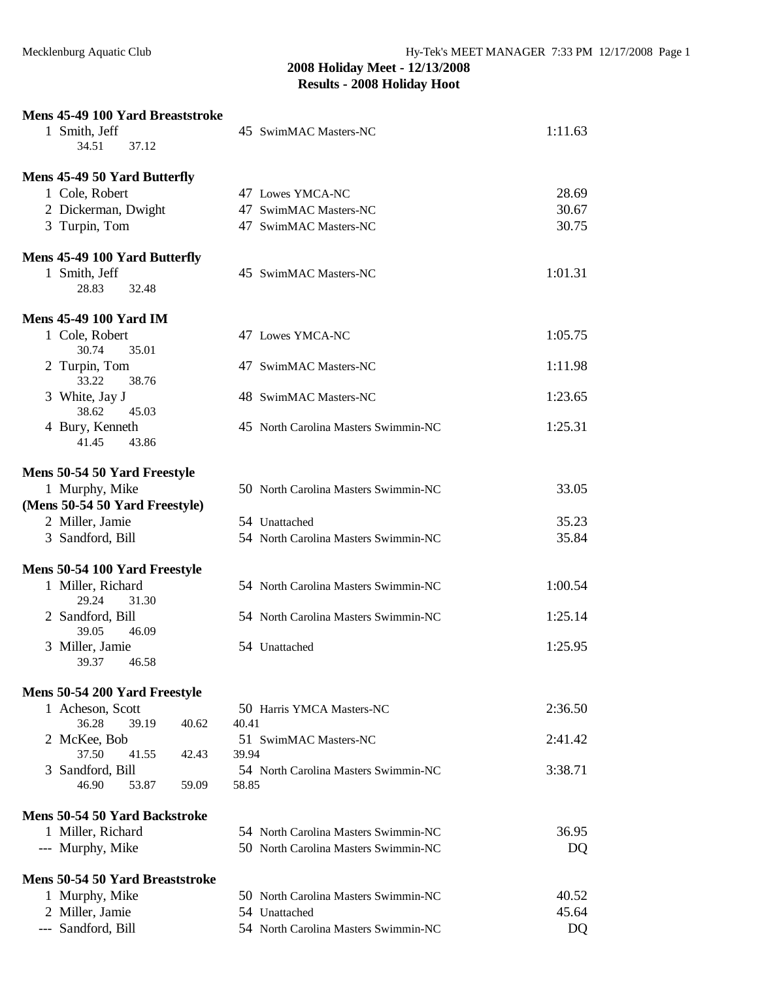| Mens 45-49 100 Yard Breaststroke   |                                      |         |
|------------------------------------|--------------------------------------|---------|
| 1 Smith, Jeff                      | 45 SwimMAC Masters-NC                | 1:11.63 |
| 34.51<br>37.12                     |                                      |         |
|                                    |                                      |         |
| Mens 45-49 50 Yard Butterfly       |                                      |         |
| 1 Cole, Robert                     | 47 Lowes YMCA-NC                     | 28.69   |
| 2 Dickerman, Dwight                | 47 SwimMAC Masters-NC                | 30.67   |
| 3 Turpin, Tom                      | 47 SwimMAC Masters-NC                | 30.75   |
| Mens 45-49 100 Yard Butterfly      |                                      |         |
| 1 Smith, Jeff                      | 45 SwimMAC Masters-NC                | 1:01.31 |
| 28.83<br>32.48                     |                                      |         |
|                                    |                                      |         |
| <b>Mens 45-49 100 Yard IM</b>      |                                      |         |
| 1 Cole, Robert                     | 47 Lowes YMCA-NC                     | 1:05.75 |
| 30.74<br>35.01                     |                                      |         |
| 2 Turpin, Tom                      | 47 SwimMAC Masters-NC                | 1:11.98 |
| 33.22<br>38.76<br>3 White, Jay J   |                                      | 1:23.65 |
| 38.62<br>45.03                     | 48 SwimMAC Masters-NC                |         |
| 4 Bury, Kenneth                    | 45 North Carolina Masters Swimmin-NC | 1:25.31 |
| 41.45<br>43.86                     |                                      |         |
|                                    |                                      |         |
| Mens 50-54 50 Yard Freestyle       |                                      |         |
| 1 Murphy, Mike                     | 50 North Carolina Masters Swimmin-NC | 33.05   |
| (Mens 50-54 50 Yard Freestyle)     |                                      |         |
| 2 Miller, Jamie                    | 54 Unattached                        | 35.23   |
| 3 Sandford, Bill                   | 54 North Carolina Masters Swimmin-NC | 35.84   |
|                                    |                                      |         |
| Mens 50-54 100 Yard Freestyle      |                                      |         |
| 1 Miller, Richard                  | 54 North Carolina Masters Swimmin-NC | 1:00.54 |
| 29.24<br>31.30<br>2 Sandford, Bill | 54 North Carolina Masters Swimmin-NC | 1:25.14 |
| 39.05<br>46.09                     |                                      |         |
| 3 Miller, Jamie                    | 54 Unattached                        | 1:25.95 |
| 46.58<br>39.37                     |                                      |         |
|                                    |                                      |         |
| Mens 50-54 200 Yard Freestyle      |                                      |         |
| 1 Acheson, Scott                   | 50 Harris YMCA Masters-NC            | 2:36.50 |
| 36.28<br>39.19<br>40.62            | 40.41                                |         |
| 2 McKee, Bob                       | 51 SwimMAC Masters-NC                | 2:41.42 |
| 37.50<br>41.55<br>42.43            | 39.94                                |         |
| 3 Sandford, Bill<br>46.90<br>53.87 | 54 North Carolina Masters Swimmin-NC | 3:38.71 |
| 59.09                              | 58.85                                |         |
| Mens 50-54 50 Yard Backstroke      |                                      |         |
| 1 Miller, Richard                  | 54 North Carolina Masters Swimmin-NC | 36.95   |
| --- Murphy, Mike                   | 50 North Carolina Masters Swimmin-NC | DQ      |
|                                    |                                      |         |
| Mens 50-54 50 Yard Breaststroke    |                                      |         |
| 1 Murphy, Mike                     | 50 North Carolina Masters Swimmin-NC | 40.52   |
| 2 Miller, Jamie                    | 54 Unattached                        | 45.64   |
| --- Sandford, Bill                 | 54 North Carolina Masters Swimmin-NC | DQ      |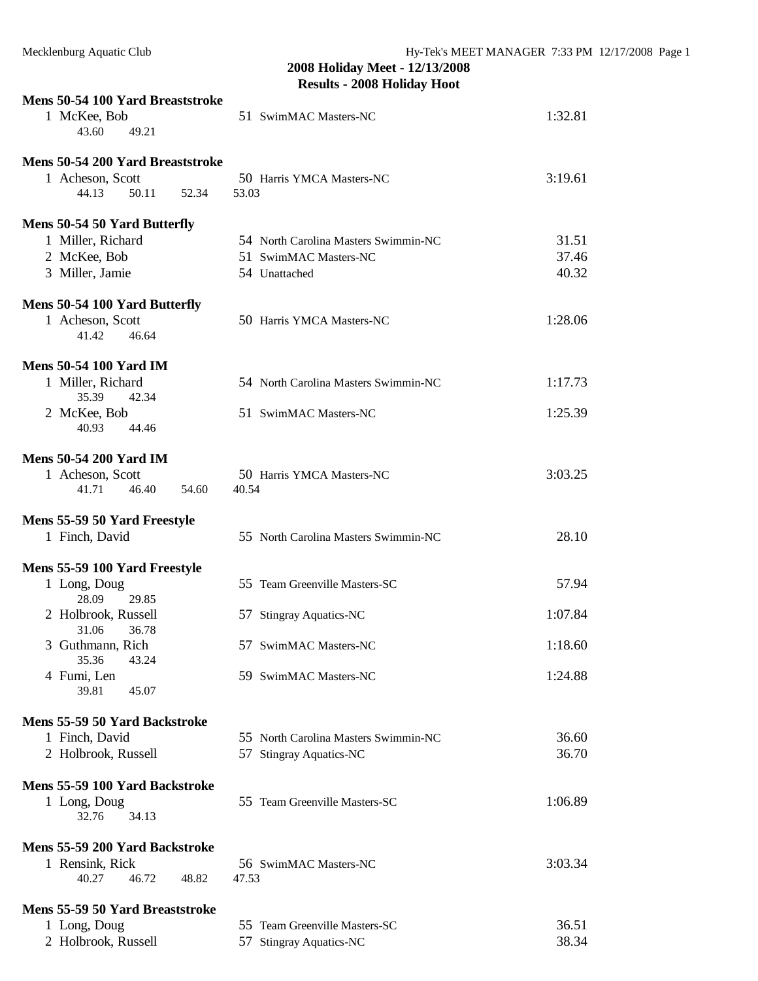| Mens 50-54 100 Yard Breaststroke                 |                                      |         |
|--------------------------------------------------|--------------------------------------|---------|
| 1 McKee, Bob<br>43.60<br>49.21                   | 51 SwimMAC Masters-NC                | 1:32.81 |
| Mens 50-54 200 Yard Breaststroke                 |                                      |         |
| 1 Acheson, Scott                                 | 50 Harris YMCA Masters-NC            | 3:19.61 |
| 44.13<br>50.11<br>52.34                          | 53.03                                |         |
| Mens 50-54 50 Yard Butterfly                     |                                      |         |
| 1 Miller, Richard                                | 54 North Carolina Masters Swimmin-NC | 31.51   |
| 2 McKee, Bob                                     | 51 SwimMAC Masters-NC                | 37.46   |
| 3 Miller, Jamie                                  | 54 Unattached                        | 40.32   |
| Mens 50-54 100 Yard Butterfly                    |                                      |         |
| 1 Acheson, Scott<br>41.42<br>46.64               | 50 Harris YMCA Masters-NC            | 1:28.06 |
| <b>Mens 50-54 100 Yard IM</b>                    |                                      |         |
| 1 Miller, Richard                                | 54 North Carolina Masters Swimmin-NC | 1:17.73 |
| 35.39<br>42.34<br>2 McKee, Bob<br>40.93<br>44.46 | 51 SwimMAC Masters-NC                | 1:25.39 |
| <b>Mens 50-54 200 Yard IM</b>                    |                                      |         |
| 1 Acheson, Scott                                 | 50 Harris YMCA Masters-NC            | 3:03.25 |
| 41.71<br>46.40<br>54.60                          | 40.54                                |         |
| Mens 55-59 50 Yard Freestyle                     |                                      |         |
| 1 Finch, David                                   | 55 North Carolina Masters Swimmin-NC | 28.10   |
| Mens 55-59 100 Yard Freestyle                    |                                      |         |
| 1 Long, Doug                                     | 55 Team Greenville Masters-SC        | 57.94   |
| 28.09<br>29.85                                   |                                      |         |
| 2 Holbrook, Russell<br>31.06<br>36.78            | 57 Stingray Aquatics-NC              | 1:07.84 |
| 3 Guthmann, Rich                                 | 57 SwimMAC Masters-NC                | 1:18.60 |
| 43.24<br>35.36                                   |                                      |         |
| 4 Fumi, Len<br>39.81<br>45.07                    | 59 SwimMAC Masters-NC                | 1:24.88 |
| Mens 55-59 50 Yard Backstroke                    |                                      |         |
| 1 Finch, David                                   | 55 North Carolina Masters Swimmin-NC | 36.60   |
| 2 Holbrook, Russell                              | 57 Stingray Aquatics-NC              | 36.70   |
| Mens 55-59 100 Yard Backstroke                   |                                      |         |
| 1 Long, Doug<br>34.13<br>32.76                   | 55 Team Greenville Masters-SC        | 1:06.89 |
| Mens 55-59 200 Yard Backstroke                   |                                      |         |
| 1 Rensink, Rick                                  | 56 SwimMAC Masters-NC                | 3:03.34 |
| 46.72<br>48.82<br>40.27                          | 47.53                                |         |
| Mens 55-59 50 Yard Breaststroke                  |                                      |         |
| 1 Long, Doug                                     | 55 Team Greenville Masters-SC        | 36.51   |
| 2 Holbrook, Russell                              | 57 Stingray Aquatics-NC              | 38.34   |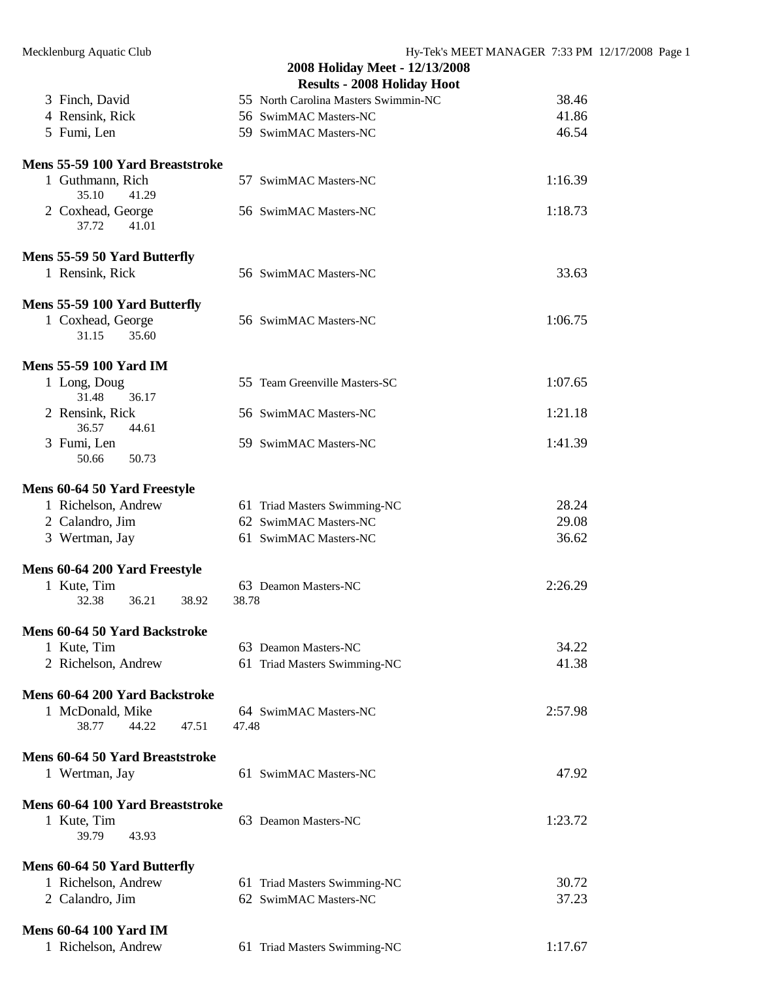|                                             | 2008 Holiday Meet - 12/13/2008<br><b>Results - 2008 Holiday Hoot</b> |         |
|---------------------------------------------|----------------------------------------------------------------------|---------|
| 3 Finch, David                              | 55 North Carolina Masters Swimmin-NC                                 | 38.46   |
| 4 Rensink, Rick                             | 56 SwimMAC Masters-NC                                                | 41.86   |
| 5 Fumi, Len                                 | 59 SwimMAC Masters-NC                                                | 46.54   |
| <b>Mens 55-59 100 Yard Breaststroke</b>     |                                                                      |         |
| 1 Guthmann, Rich<br>35.10<br>41.29          | 57 SwimMAC Masters-NC                                                | 1:16.39 |
| 2 Coxhead, George<br>37.72<br>41.01         | 56 SwimMAC Masters-NC                                                | 1:18.73 |
| Mens 55-59 50 Yard Butterfly                |                                                                      |         |
| 1 Rensink, Rick                             | 56 SwimMAC Masters-NC                                                | 33.63   |
| Mens 55-59 100 Yard Butterfly               |                                                                      |         |
| 1 Coxhead, George<br>31.15<br>35.60         | 56 SwimMAC Masters-NC                                                | 1:06.75 |
| <b>Mens 55-59 100 Yard IM</b>               |                                                                      |         |
| 1 Long, Doug<br>31.48<br>36.17              | 55 Team Greenville Masters-SC                                        | 1:07.65 |
| 2 Rensink, Rick<br>36.57<br>44.61           | 56 SwimMAC Masters-NC                                                | 1:21.18 |
| 3 Fumi, Len<br>50.66<br>50.73               | 59 SwimMAC Masters-NC                                                | 1:41.39 |
| Mens 60-64 50 Yard Freestyle                |                                                                      |         |
| 1 Richelson, Andrew                         | 61 Triad Masters Swimming-NC                                         | 28.24   |
| 2 Calandro, Jim                             | 62 SwimMAC Masters-NC                                                | 29.08   |
| 3 Wertman, Jay                              | 61 SwimMAC Masters-NC                                                | 36.62   |
| Mens 60-64 200 Yard Freestyle               |                                                                      |         |
| 1 Kute, Tim<br>32.38<br>36.21<br>38.92      | 63 Deamon Masters-NC<br>38.78                                        | 2:26.29 |
| <b>Mens 60-64 50 Yard Backstroke</b>        |                                                                      |         |
| 1 Kute, Tim                                 | 63 Deamon Masters-NC                                                 | 34.22   |
| 2 Richelson, Andrew                         | 61 Triad Masters Swimming-NC                                         | 41.38   |
| <b>Mens 60-64 200 Yard Backstroke</b>       |                                                                      |         |
| 1 McDonald, Mike<br>38.77<br>44.22<br>47.51 | 64 SwimMAC Masters-NC<br>47.48                                       | 2:57.98 |
| <b>Mens 60-64 50 Yard Breaststroke</b>      |                                                                      |         |
| 1 Wertman, Jay                              | 61 SwimMAC Masters-NC                                                | 47.92   |
| Mens 60-64 100 Yard Breaststroke            |                                                                      |         |
| 1 Kute, Tim<br>39.79<br>43.93               | 63 Deamon Masters-NC                                                 | 1:23.72 |
| Mens 60-64 50 Yard Butterfly                |                                                                      |         |
| 1 Richelson, Andrew                         | 61 Triad Masters Swimming-NC                                         | 30.72   |
| 2 Calandro, Jim                             | 62 SwimMAC Masters-NC                                                | 37.23   |
| <b>Mens 60-64 100 Yard IM</b>               |                                                                      |         |
| 1 Richelson, Andrew                         | 61 Triad Masters Swimming-NC                                         | 1:17.67 |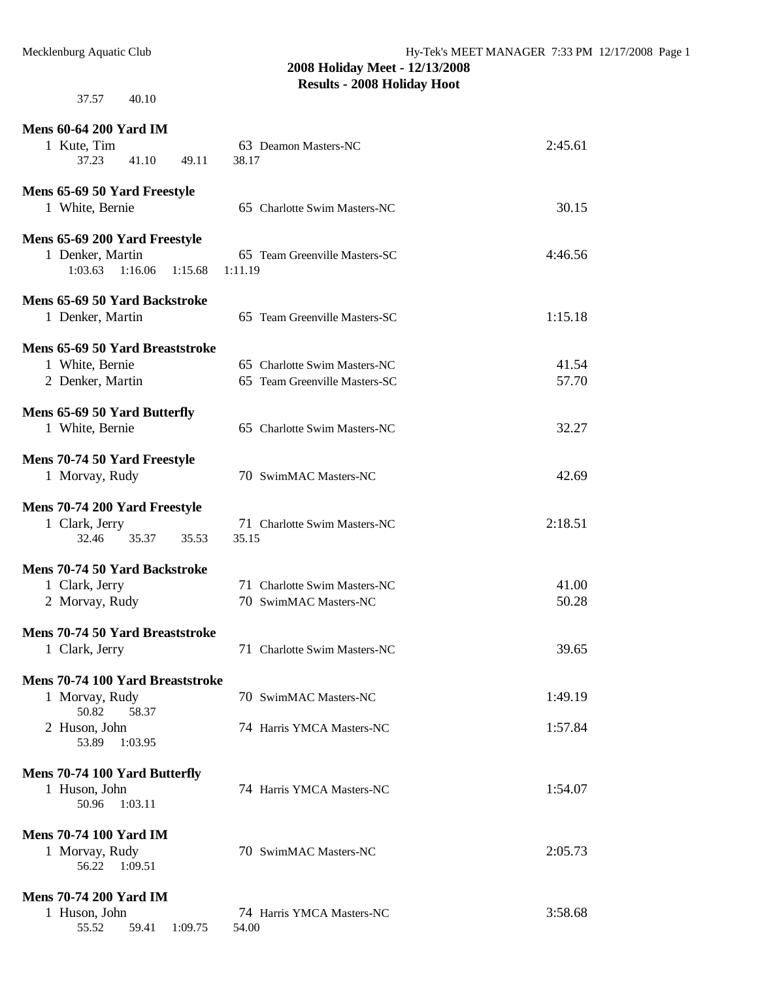37.57 40.10

| <b>Mens 60-64 200 Yard IM</b>                  |                               |                |
|------------------------------------------------|-------------------------------|----------------|
| 1 Kute, Tim                                    | 63 Deamon Masters-NC          | 2:45.61        |
| 37.23<br>41.10<br>49.11                        | 38.17                         |                |
| Mens 65-69 50 Yard Freestyle                   |                               |                |
| 1 White, Bernie                                | 65 Charlotte Swim Masters-NC  | 30.15          |
|                                                |                               |                |
| Mens 65-69 200 Yard Freestyle                  |                               |                |
| 1 Denker, Martin                               | 65 Team Greenville Masters-SC | 4:46.56        |
| 1:03.63<br>1:16.06<br>1:15.68                  | 1:11.19                       |                |
|                                                |                               |                |
| Mens 65-69 50 Yard Backstroke                  | 65 Team Greenville Masters-SC | 1:15.18        |
| 1 Denker, Martin                               |                               |                |
| Mens 65-69 50 Yard Breaststroke                |                               |                |
| 1 White, Bernie                                | 65 Charlotte Swim Masters-NC  | 41.54          |
| 2 Denker, Martin                               | 65 Team Greenville Masters-SC | 57.70          |
|                                                |                               |                |
| Mens 65-69 50 Yard Butterfly                   |                               |                |
| 1 White, Bernie                                | 65 Charlotte Swim Masters-NC  | 32.27          |
|                                                |                               |                |
| Mens 70-74 50 Yard Freestyle<br>1 Morvay, Rudy | 70 SwimMAC Masters-NC         | 42.69          |
|                                                |                               |                |
| Mens 70-74 200 Yard Freestyle                  |                               |                |
| 1 Clark, Jerry                                 | 71 Charlotte Swim Masters-NC  | 2:18.51        |
| 32.46<br>35.37<br>35.53                        | 35.15                         |                |
|                                                |                               |                |
| Mens 70-74 50 Yard Backstroke                  |                               |                |
| 1 Clark, Jerry                                 | 71 Charlotte Swim Masters-NC  | 41.00<br>50.28 |
| 2 Morvay, Rudy                                 | 70 SwimMAC Masters-NC         |                |
| Mens 70-74 50 Yard Breaststroke                |                               |                |
| 1 Clark, Jerry                                 | 71 Charlotte Swim Masters-NC  | 39.65          |
|                                                |                               |                |
| Mens 70-74 100 Yard Breaststroke               |                               |                |
| 1 Morvay, Rudy                                 | 70 SwimMAC Masters-NC         | 1:49.19        |
| 50.82<br>58.37                                 |                               |                |
| 2 Huson, John<br>53.89<br>1:03.95              | 74 Harris YMCA Masters-NC     | 1:57.84        |
|                                                |                               |                |
| Mens 70-74 100 Yard Butterfly                  |                               |                |
| 1 Huson, John                                  | 74 Harris YMCA Masters-NC     | 1:54.07        |
| 1:03.11<br>50.96                               |                               |                |
| <b>Mens 70-74 100 Yard IM</b>                  |                               |                |
| 1 Morvay, Rudy                                 | 70 SwimMAC Masters-NC         | 2:05.73        |
| 56.22<br>1:09.51                               |                               |                |
|                                                |                               |                |
| <b>Mens 70-74 200 Yard IM</b>                  |                               |                |
| 1 Huson, John                                  | 74 Harris YMCA Masters-NC     | 3:58.68        |
| 55.52<br>59.41<br>1:09.75                      | 54.00                         |                |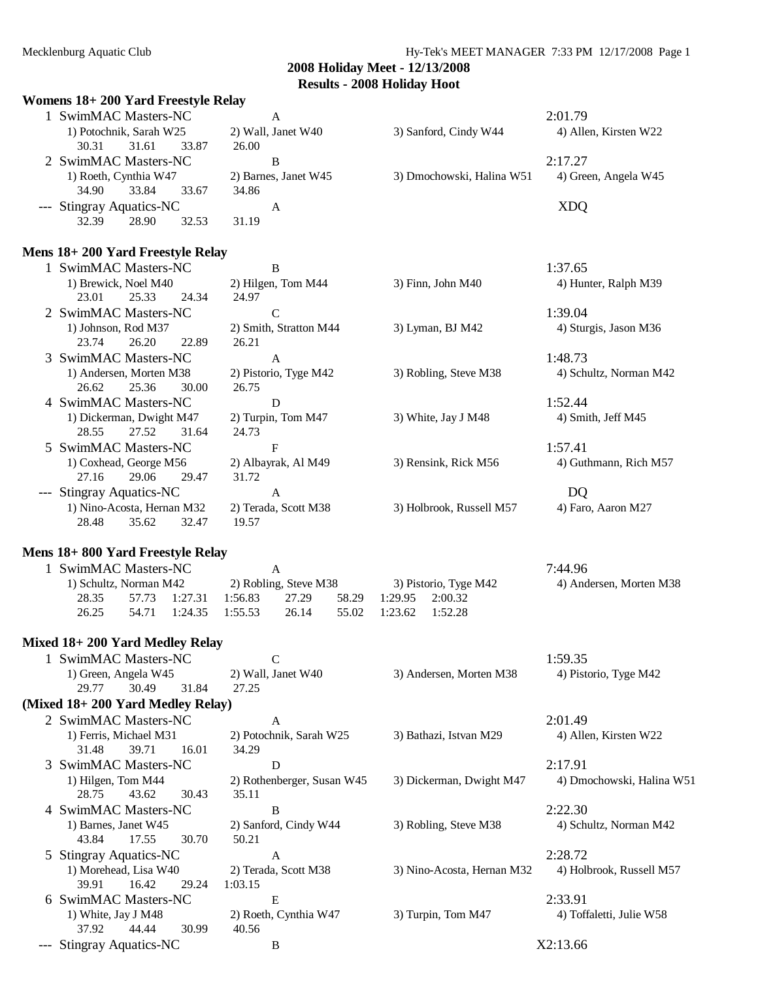3) Andersen, Morten M38 4) Pistorio, Tyge M42

#### **2008 Holiday Meet - 12/13/2008 Results - 2008 Holiday Hoot**

#### **Womens 18+ 200 Yard Freestyle Relay**

| 1 SwimMAC Masters-NC     | А                    |                           | 2:01.79               |
|--------------------------|----------------------|---------------------------|-----------------------|
| 1) Potochnik, Sarah W25  | 2) Wall, Janet W40   | 3) Sanford, Cindy W44     | 4) Allen, Kirsten W22 |
| 33.87<br>30.31<br>31.61  | 26.00                |                           |                       |
| 2 SwimMAC Masters-NC     | в                    |                           | 2:17.27               |
| 1) Roeth, Cynthia W47    | 2) Barnes, Janet W45 | 3) Dmochowski, Halina W51 | 4) Green, Angela W45  |
| 33.84<br>34.90<br>33.67  | 34.86                |                           |                       |
| --- Stingray Aquatics-NC | А                    |                           | XDQ                   |
| 32.39<br>28.90<br>32.53  | 31.19                |                           |                       |

# **Mens 18+ 200 Yard Freestyle Relay**

| SwimMAC Masters-NC         | B                      |                          | 1:37.65                |
|----------------------------|------------------------|--------------------------|------------------------|
| 1) Brewick, Noel M40       | 2) Hilgen, Tom M44     | $3)$ Finn, John M40      | 4) Hunter, Ralph M39   |
| 25.33<br>24.34<br>23.01    | 24.97                  |                          |                        |
| 2 SwimMAC Masters-NC       | C                      |                          | 1:39.04                |
| 1) Johnson, Rod M37        | 2) Smith, Stratton M44 | 3) Lyman, BJ M42         | 4) Sturgis, Jason M36  |
| 26.20<br>23.74<br>22.89    | 26.21                  |                          |                        |
| 3 SwimMAC Masters-NC       | A                      |                          | 1:48.73                |
| 1) Andersen, Morten M38    | 2) Pistorio, Tyge M42  | 3) Robling, Steve M38    | 4) Schultz, Norman M42 |
| 30.00<br>26.62<br>25.36    | 26.75                  |                          |                        |
| 4 SwimMAC Masters-NC       | D                      |                          | 1:52.44                |
| 1) Dickerman, Dwight M47   | 2) Turpin, Tom M47     | 3) White, Jay J M48      | 4) Smith, Jeff M45     |
| 27.52<br>31.64<br>28.55    | 24.73                  |                          |                        |
| 5 SwimMAC Masters-NC       | F                      |                          | 1:57.41                |
| 1) Coxhead, George M56     | 2) Albayrak, Al M49    | 3) Rensink, Rick M56     | 4) Guthmann, Rich M57  |
| 29.47<br>27.16<br>29.06    | 31.72                  |                          |                        |
| --- Stingray Aquatics-NC   | A                      |                          | DO                     |
| 1) Nino-Acosta, Hernan M32 | 2) Terada, Scott M38   | 3) Holbrook, Russell M57 | 4) Faro, Aaron M27     |
| 28.48<br>35.62<br>32.47    | 19.57                  |                          |                        |
|                            |                        |                          |                        |

#### **Mens 18+ 800 Yard Freestyle Relay**

| SwimMAC Masters-NC     |       |               |               |                       |       |         |                       | 7:44.96                 |
|------------------------|-------|---------------|---------------|-----------------------|-------|---------|-----------------------|-------------------------|
| 1) Schultz, Norman M42 |       |               |               | 2) Robling, Steve M38 |       |         | 3) Pistorio, Tyge M42 | 4) Andersen, Morten M38 |
| 28.35                  |       | 57.73 1:27.31 | 1:56.83 27.29 |                       | 58.29 | 1:29.95 | 2:00.32               |                         |
| 26.25                  | 54.71 | 1:24.35       | 1:55.53       | 26.14                 | 55.02 | 1:23.62 | 1:52.28               |                         |

# **Mixed 18+ 200 Yard Medley Relay**

| 1 SwimMAC Masters-NC |       |       |                    |                         | 1:59.35  |
|----------------------|-------|-------|--------------------|-------------------------|----------|
| 1) Green, Angela W45 |       |       | 2) Wall, Janet W40 | 3) Andersen, Morten M38 | 4) Pisto |
| 29.77                | 30.49 | 31.84 | 27.25              |                         |          |

#### **(Mixed 18+ 200 Yard Medley Relay)**

| 2 SwimMAC Masters-NC     | A                          |                            | 2:01.49                   |
|--------------------------|----------------------------|----------------------------|---------------------------|
| 1) Ferris, Michael M31   | 2) Potochnik, Sarah W25    | 3) Bathazi, Istvan M29     | 4) Allen, Kirsten W22     |
| 16.01<br>31.48<br>39.71  | 34.29                      |                            |                           |
| 3 SwimMAC Masters-NC     | D                          |                            | 2:17.91                   |
| 1) Hilgen, Tom M44       | 2) Rothenberger, Susan W45 | 3) Dickerman, Dwight M47   | 4) Dmochowski, Halina W51 |
| 43.62<br>30.43<br>28.75  | 35.11                      |                            |                           |
| 4 SwimMAC Masters-NC     | B                          |                            | 2:22.30                   |
| 1) Barnes, Janet W45     | 2) Sanford, Cindy W44      | 3) Robling, Steve M38      | 4) Schultz, Norman M42    |
| 30.70<br>43.84<br>17.55  | 50.21                      |                            |                           |
| 5 Stingray Aquatics-NC   | A                          |                            | 2:28.72                   |
| 1) Morehead, Lisa W40    | 2) Terada, Scott M38       | 3) Nino-Acosta, Hernan M32 | 4) Holbrook, Russell M57  |
| 29.24<br>16.42<br>39.91  | 1:03.15                    |                            |                           |
| 6 SwimMAC Masters-NC     | E                          |                            | 2:33.91                   |
| 1) White, Jay J M48      | 2) Roeth, Cynthia W47      | 3) Turpin, Tom M47         | 4) Toffaletti, Julie W58  |
| 44.44<br>37.92<br>30.99  | 40.56                      |                            |                           |
| --- Stingray Aquatics-NC | B                          |                            | X2:13.66                  |